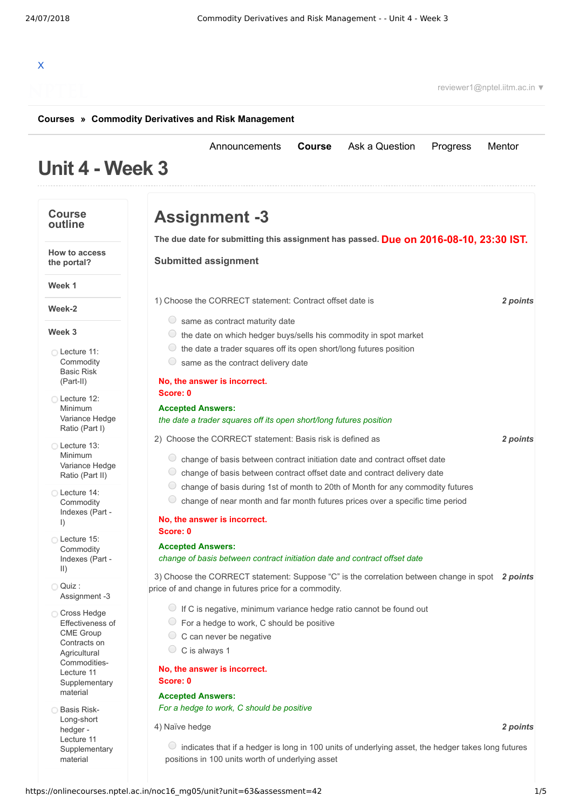# X

reviewer1@nptel.iitm.ac.in ▼

#### **[Courses](https://onlinecourses.nptel.ac.in/) » [Commodity Derivatives and Risk Management](https://onlinecourses.nptel.ac.in/noc16_mg05/course)**

## **Unit 4 - Week 3**

[Announcements](https://onlinecourses.nptel.ac.in/noc16_mg05/announcements) **[Course](https://onlinecourses.nptel.ac.in/noc16_mg05/course)** [Ask a Question](https://onlinecourses.nptel.ac.in/noc16_mg05/forum) [Progress](https://onlinecourses.nptel.ac.in/noc16_mg05/student/home) [Mentor](https://onlinecourses.nptel.ac.in/noc16_mg05/student/mentor)

**Week 1**

**Course outline**

**How to access the portal?**

**Week-2**

## **Week 3**

- Lecture 11: **[Commodity](https://onlinecourses.nptel.ac.in/noc16_mg05/unit?unit=63&lesson=69)** Basic Risk (Part-II)
- Lecture 12: [Minimum](https://onlinecourses.nptel.ac.in/noc16_mg05/unit?unit=63&lesson=70) Variance Hedge Ratio (Part I)
- Lecture 13: [Minimum](https://onlinecourses.nptel.ac.in/noc16_mg05/unit?unit=63&lesson=71) Variance Hedge Ratio (Part II)
- Lecture 14: [Commodity](https://onlinecourses.nptel.ac.in/noc16_mg05/unit?unit=63&lesson=72) Indexes (Part - I)
- Lecture 15: **[Commodity](https://onlinecourses.nptel.ac.in/noc16_mg05/unit?unit=63&lesson=73)** Indexes (Part - II)

Quiz : [Assignment](https://onlinecourses.nptel.ac.in/noc16_mg05/assessment?name=42) -3

- Cross Hedge Effectiveness of CME Group Contracts on **Agricultural** Commodities-Lecture 11 **[Supplementary](https://onlinecourses.nptel.ac.in/noc16_mg05/link?unit=75)** material
- **Basis Risk-**Long-short hedger - Lecture 11 [Supplementary](https://onlinecourses.nptel.ac.in/noc16_mg05/link?unit=76) material

| <b>Assignment -3</b>                                                                                                                                                                                                                                                                                                                                 |          |
|------------------------------------------------------------------------------------------------------------------------------------------------------------------------------------------------------------------------------------------------------------------------------------------------------------------------------------------------------|----------|
| The due date for submitting this assignment has passed. Due on 2016-08-10, 23:30 IST.                                                                                                                                                                                                                                                                |          |
| <b>Submitted assignment</b>                                                                                                                                                                                                                                                                                                                          |          |
| 1) Choose the CORRECT statement: Contract offset date is                                                                                                                                                                                                                                                                                             | 2 points |
| $\cup$<br>same as contract maturity date<br>the date on which hedger buys/sells his commodity in spot market<br>$\cup$<br>the date a trader squares off its open short/long futures position<br>same as the contract delivery date                                                                                                                   |          |
| No, the answer is incorrect.<br>Score: 0                                                                                                                                                                                                                                                                                                             |          |
| <b>Accepted Answers:</b><br>the date a trader squares off its open short/long futures position                                                                                                                                                                                                                                                       |          |
| 2) Choose the CORRECT statement: Basis risk is defined as                                                                                                                                                                                                                                                                                            | 2 points |
| $\bigcirc$<br>change of basis between contract initiation date and contract offset date<br>$\cup$<br>change of basis between contract offset date and contract delivery date<br>O<br>change of basis during 1st of month to 20th of Month for any commodity futures<br>change of near month and far month futures prices over a specific time period |          |
| No, the answer is incorrect.<br>Score: 0                                                                                                                                                                                                                                                                                                             |          |
| <b>Accepted Answers:</b><br>change of basis between contract initiation date and contract offset date                                                                                                                                                                                                                                                |          |
| 3) Choose the CORRECT statement: Suppose "C" is the correlation between change in spot 2 points<br>price of and change in futures price for a commodity.                                                                                                                                                                                             |          |
| If C is negative, minimum variance hedge ratio cannot be found out<br>For a hedge to work, C should be positive<br>C can never be negative<br>C is always 1                                                                                                                                                                                          |          |
| No, the answer is incorrect.<br>Score: 0                                                                                                                                                                                                                                                                                                             |          |
| <b>Accepted Answers:</b><br>For a hedge to work, C should be positive                                                                                                                                                                                                                                                                                |          |
| 4) Naïve hedge                                                                                                                                                                                                                                                                                                                                       | 2 points |
|                                                                                                                                                                                                                                                                                                                                                      |          |

 $\circ$  indicates that if a hedger is long in 100 units of underlying asset, the hedger takes long futures positions in 100 units worth of underlying asset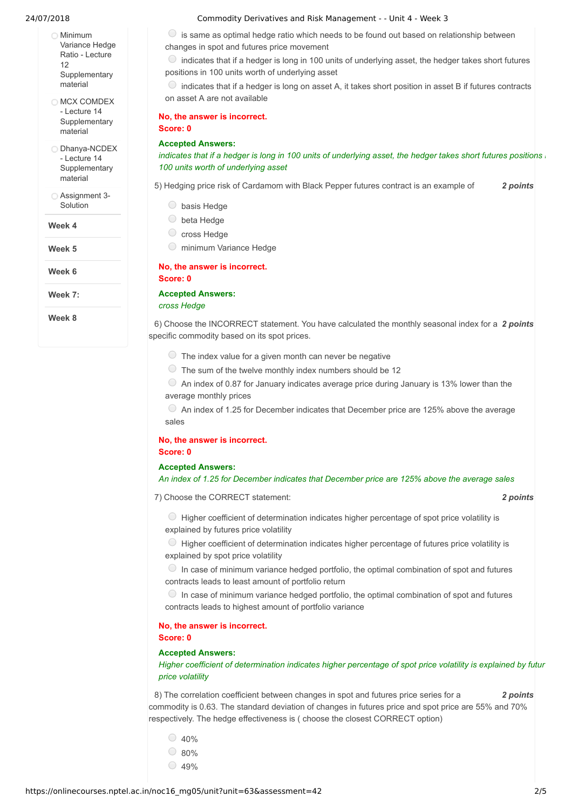- Minimum Variance Hedge Ratio - Lecture 12 **[Supplementary](https://onlinecourses.nptel.ac.in/noc16_mg05/link?unit=77)** material
- O MCX COMDEX - Lecture 14 **[Supplementary](https://onlinecourses.nptel.ac.in/noc16_mg05/link?unit=78)** material

O [Dhanya-NCDEX](https://onlinecourses.nptel.ac.in/noc16_mg05/link?unit=79) - Lecture 14 **Supplementary** material

[Assignment](https://onlinecourses.nptel.ac.in/noc16_mg05/link?unit=129) 3- Solution

**Week 4**

**Week 5**

**Week 6**

**Week 7:**

**Week 8**

#### 24/07/2018 Commodity Derivatives and Risk Management - - Unit 4 - Week 3

 $\circ$  is same as optimal hedge ratio which needs to be found out based on relationship between changes in spot and futures price movement

 $\bigcirc$  indicates that if a hedger is long in 100 units of underlying asset, the hedger takes short futures positions in 100 units worth of underlying asset

 $\circ$  indicates that if a hedger is long on asset A, it takes short position in asset B if futures contracts on asset A are not available

**No, the answer is incorrect. Score: 0**

#### **Accepted Answers:**

indicates that if a hedger is long in 100 units of underlying asset, the hedger takes short futures positions *100 units worth of underlying asset*

5) *2 points* Hedging price risk of Cardamom with Black Pepper futures contract is an example of

- O basis Hedge
- beta Hedge
- C cross Hedge
- minimum Variance Hedge

#### **No, the answer is incorrect.**

**Score: 0**

#### **Accepted Answers:**

*cross Hedge*

6) Choose the INCORRECT statement. You have calculated the monthly seasonal index for a 2 *points* specific commodity based on its spot prices.

- $\circled{1}$  The index value for a given month can never be negative
- $\circ$  The sum of the twelve monthly index numbers should be 12

 $\circ$  An index of 0.87 for January indicates average price during January is 13% lower than the average monthly prices

 $\degree$  An index of 1.25 for December indicates that December price are 125% above the average sales

#### **No, the answer is incorrect. Score: 0**

#### **Accepted Answers:**

#### *An index of 1.25 for December indicates that December price are 125% above the average sales*

7) *2 points* Choose the CORRECT statement:

 $\bigcirc$  Higher coefficient of determination indicates higher percentage of spot price volatility is explained by futures price volatility

 $\bigcirc$  Higher coefficient of determination indicates higher percentage of futures price volatility is explained by spot price volatility

 $\circ$  In case of minimum variance hedged portfolio, the optimal combination of spot and futures contracts leads to least amount of portfolio return

 $\circ$  In case of minimum variance hedged portfolio, the optimal combination of spot and futures contracts leads to highest amount of portfolio variance

#### **No, the answer is incorrect. Score: 0**

#### **Accepted Answers:**

*Higher coefficient of determination indicates higher percentage of spot price volatility is explained by futur price volatility*

8) *2 points* The correlation coefficient between changes in spot and futures price series for a commodity is 0.63. The standard deviation of changes in futures price and spot price are 55% and 70% respectively. The hedge effectiveness is ( choose the closest CORRECT option)

 $\circ$  40% 80%  $\bigcirc$  49%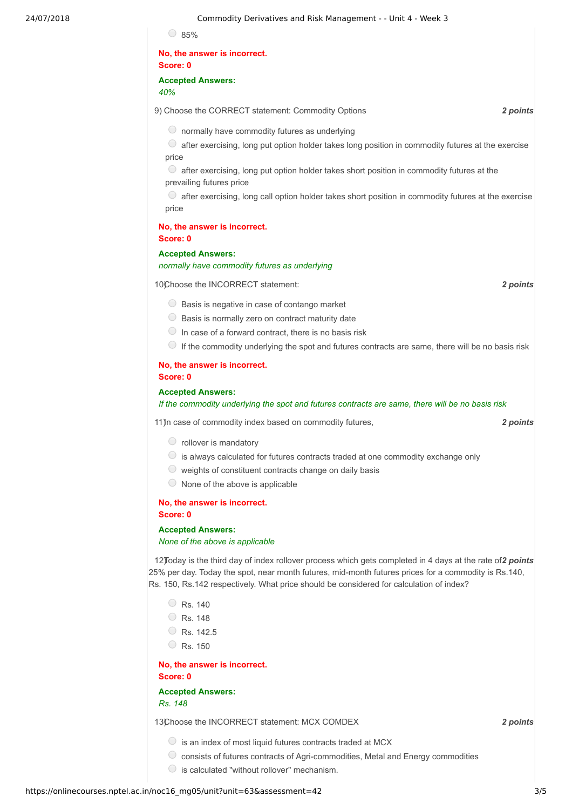**No, the answer is incorrect.**

**Score: 0**

#### **Accepted Answers:**

*40%*

9) *2 points* Choose the CORRECT statement: Commodity Options

 $\circledcirc$  normally have commodity futures as underlying

 $\circ$  after exercising, long put option holder takes long position in commodity futures at the exercise price

 $\circlearrowright$  after exercising, long put option holder takes short position in commodity futures at the prevailing futures price

 $\circ$  after exercising, long call option holder takes short position in commodity futures at the exercise price

#### **No, the answer is incorrect. Score: 0**

#### **Accepted Answers:**

*normally have commodity futures as underlying*

10) **2** *points* **2** *points* 

- $\bigcirc$  Basis is negative in case of contango market
- $\circ$  Basis is normally zero on contract maturity date
- $\bigcirc$  In case of a forward contract, there is no basis risk
- $\bullet$  If the commodity underlying the spot and futures contracts are same, there will be no basis risk

## **No, the answer is incorrect.**

#### **Score: 0**

#### **Accepted Answers:**

*If the commodity underlying the spot and futures contracts are same, there will be no basis risk*

11) **11** case of commodity index based on commodity futures, **12 12 Soluts** 2 **2 points** 

- rollover is mandatory
- $\circ$  is always calculated for futures contracts traded at one commodity exchange only
- $\circlearrowright$  weights of constituent contracts change on daily basis
	- $\circ$  None of the above is applicable

#### **No, the answer is incorrect. Score: 0**

#### **Accepted Answers:**

*None of the above is applicable*

12) Today is the third day of index rollover process which gets completed in 4 days at the rate of 2 points 25% per day. Today the spot, near month futures, mid-month futures prices for a commodity is Rs.140, Rs. 150, Rs.142 respectively. What price should be considered for calculation of index?

- $\circ$  Rs. 140
- Rs. 148
- Rs. 142.5
- $\circ$  Rs. 150

**No, the answer is incorrect. Score: 0**

**Accepted Answers:** *Rs. 148*

13)Choose the INCORRECT statement: MCX COMDEX **COMBILICATES** 2 points

- $\bigcirc$  is an index of most liquid futures contracts traded at MCX
- $\circlearrowright$  consists of futures contracts of Agri-commodities, Metal and Energy commodities
- $\bigcirc$  is calculated "without rollover" mechanism.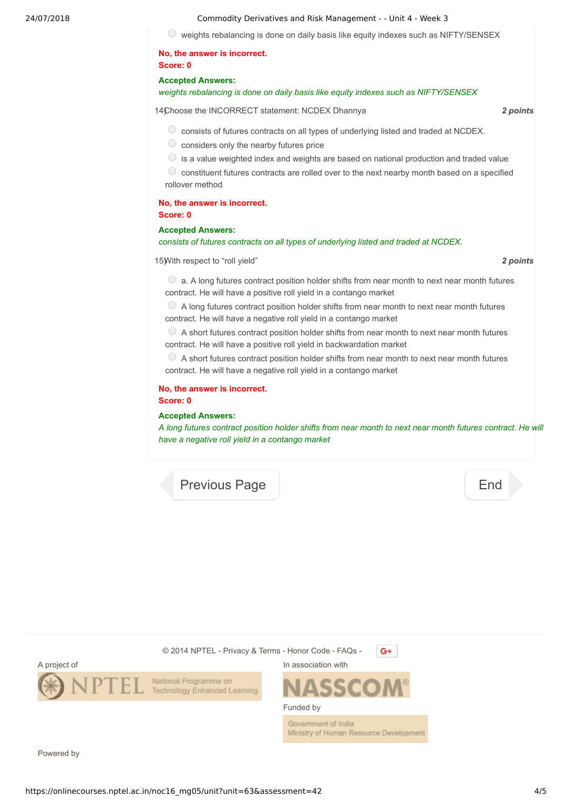#### 24/07/2018 Commodity Derivatives and Risk Management - - Unit 4 - Week 3

weights rebalancing is done on daily basis like equity indexes such as NIFTY/SENSEX

#### **No, the answer is incorrect. Score: 0**

#### **Accepted Answers:**

#### *weights rebalancing is done on daily basis like equity indexes such as NIFTY/SENSEX*

14) *2 points* Choose the INCORRECT statement: NCDEX Dhannya

 $\circlearrowright$  consists of futures contracts on all types of underlying listed and traded at NCDEX.

- $\circlearrowright$  considers only the nearby futures price
- $\circ$  is a value weighted index and weights are based on national production and traded value

 $\circledcirc$  constituent futures contracts are rolled over to the next nearby month based on a specified rollover method

#### **No, the answer is incorrect. Score: 0**

#### **Accepted Answers:**

#### *consists of futures contracts on all types of underlying listed and traded at NCDEX.*

15) *2 points* With respect to "roll yield"

 $\bullet$  a. A long futures contract position holder shifts from near month to next near month futures contract. He will have a positive roll yield in a contango market

 $\bullet$  A long futures contract position holder shifts from near month to next near month futures contract. He will have a negative roll yield in a contango market

 $\circ$  A short futures contract position holder shifts from near month to next near month futures contract. He will have a positive roll yield in backwardation market

 $\circ$  A short futures contract position holder shifts from near month to next near month futures contract. He will have a negative roll yield in a contango market

#### **No, the answer is incorrect. Score: 0**

#### **Accepted Answers:**

A long futures contract position holder shifts from near month to next near month futures contract. He will *have a negative roll yield in a contango market*

[Previous Page](https://onlinecourses.nptel.ac.in/noc16_mg05/unit?unit=63&lesson=73) **[End](https://onlinecourses.nptel.ac.in/noc16_mg05/course)** 





Powered by